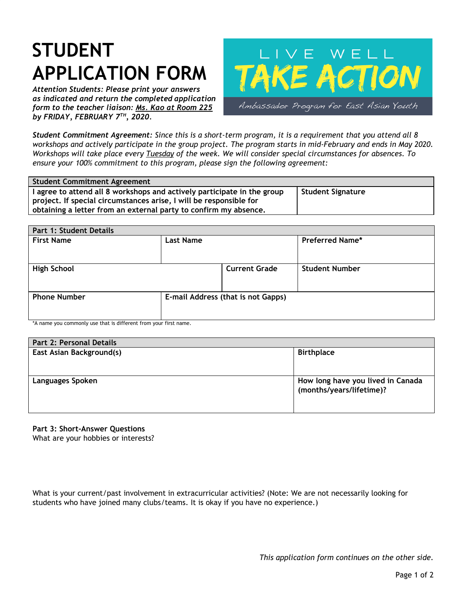## **STUDENT APPLICATION FORM**

*Attention Students: Please print your answers as indicated and return the completed application form to the teacher liaison: Ms. Kao at Room 225 by FRIDAY, FEBRUARY 7 TH , 2020.*



Student Commitment Agreement: Since this is a short-term program, it is a requirement that you attend all 8 workshops and actively participate in the group project. The program starts in mid-February and ends in May 2020. Workshops will take place every Tuesday of the week. We will consider special circumstances for absences. To *ensure your 100% commitment to this program, please sign the following agreement:*

| <b>Student Commitment Agreement</b>                                     |                   |
|-------------------------------------------------------------------------|-------------------|
| I agree to attend all 8 workshops and actively participate in the group | Student Signature |
| project. If special circumstances arise, I will be responsible for      |                   |
| obtaining a letter from an external party to confirm my absence.        |                   |

| Part 1: Student Details |                  |                                    |                        |  |  |
|-------------------------|------------------|------------------------------------|------------------------|--|--|
| <b>First Name</b>       | <b>Last Name</b> |                                    | <b>Preferred Name*</b> |  |  |
| <b>High School</b>      |                  | <b>Current Grade</b>               | <b>Student Number</b>  |  |  |
| <b>Phone Number</b>     |                  | E-mail Address (that is not Gapps) |                        |  |  |

\*A name you commonly use that is different from your first name.

| Part 2: Personal Details |                                                               |
|--------------------------|---------------------------------------------------------------|
| East Asian Background(s) | <b>Birthplace</b>                                             |
| <b>Languages Spoken</b>  | How long have you lived in Canada<br>(months/years/lifetime)? |

**Part 3: Short-Answer Questions**

What are your hobbies or interests?

What is your current/past involvement in extracurricular activities? (Note: We are not necessarily looking for students who have joined many clubs/teams. It is okay if you have no experience.)